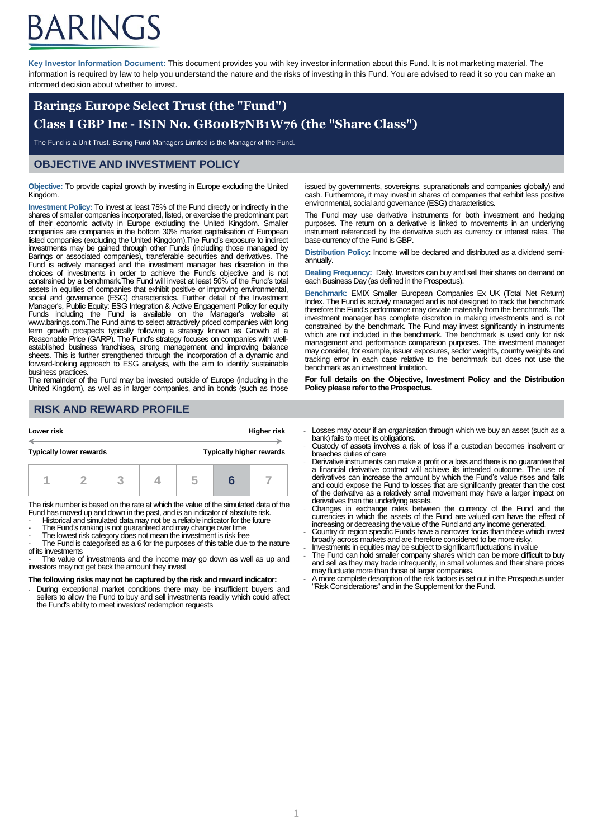# ARINGS

**Key Investor Information Document:** This document provides you with key investor information about this Fund. It is not marketing material. The information is required by law to help you understand the nature and the risks of investing in this Fund. You are advised to read it so you can make an informed decision about whether to invest.

# **Barings Europe Select Trust (the "Fund") Class I GBP Inc - ISIN No. GB00B7NB1W76 (the "Share Class")**

The Fund is a Unit Trust. Baring Fund Managers Limited is the Manager of the Fund.

### **OBJECTIVE AND INVESTMENT POLICY**

**Objective:** To provide capital growth by investing in Europe excluding the United Kingdom.

**Investment Policy:** To invest at least 75% of the Fund directly or indirectly in the shares of smaller companies incorporated, listed, or exercise the predominant part of their economic activity in Europe excluding the United Kingdom. Smaller companies are companies in the bottom 30% market capitalisation of European listed companies (excluding the United Kingdom).The Fund's exposure to indirect investments may be gained through other Funds (including those managed by Barings or associated companies), transferable securities and derivatives. The Fund is actively managed and the investment manager has discretion in the choices of investments in order to achieve the Fund's objective and is not constrained by a benchmark. The Fund will invest at least 50% of the Fund's total assets in equities of companies that exhibit positive or improving environmental, social and governance (ESG) characteristics. Further detail of the Investment Manager's, Public Equity: ESG Integration & Active Engagement Policy for equity Funds including the Fund is available on the Manager's website at www.barings.com.The Fund aims to select attractively priced companies with long term growth prospects typically following a strategy known as Growth at a Reasonable Price (GARP). The Fund's strategy focuses on companies with wellestablished business franchises, strong management and improving balance sheets. This is further strengthened through the incorporation of a dynamic and forward-looking approach to ESG analysis, with the aim to identify sustainable business practices.

The remainder of the Fund may be invested outside of Europe (including in the United Kingdom), as well as in larger companies, and in bonds (such as those

# **RISK AND REWARD PROFILE**

| Lower risk                                                        |  |  | <b>Higher risk</b> |  |  |  |
|-------------------------------------------------------------------|--|--|--------------------|--|--|--|
| <b>Typically lower rewards</b><br><b>Typically higher rewards</b> |  |  |                    |  |  |  |
|                                                                   |  |  |                    |  |  |  |

The risk number is based on the rate at which the value of the simulated data of the Fund has moved up and down in the past, and is an indicator of absolute risk. - Historical and simulated data may not be a reliable indicator for the future

- The Fund's ranking is not guaranteed and may change over time
- The lowest risk category does not mean the investment is risk free

The Fund is categorised as a 6 for the purposes of this table due to the nature of its investments

The value of investments and the income may go down as well as up and investors may not get back the amount they invest

#### **The following risks may not be captured by the risk and reward indicator:**

During exceptional market conditions there may be insufficient buyers and sellers to allow the Fund to buy and sell investments readily which could affect the Fund's ability to meet investors' redemption requests

issued by governments, sovereigns, supranationals and companies globally) and cash. Furthermore, it may invest in shares of companies that exhibit less positive environmental, social and governance (ESG) characteristics.

The Fund may use derivative instruments for both investment and hedging purposes. The return on a derivative is linked to movements in an underlying instrument referenced by the derivative such as currency or interest rates. The base currency of the Fund is GBP.

**Distribution Policy**: Income will be declared and distributed as a dividend semiannually.

**Dealing Frequency:** Daily. Investors can buy and sell their shares on demand on each Business Day (as defined in the Prospectus).

**Benchmark:** EMIX Smaller European Companies Ex UK (Total Net Return) Index. The Fund is actively managed and is not designed to track the benchmark therefore the Fund's performance may deviate materially from the benchmark. The investment manager has complete discretion in making investments and is not constrained by the benchmark. The Fund may invest significantly in instruments which are not included in the benchmark. The benchmark is used only for risk management and performance comparison purposes. The investment manager may consider, for example, issuer exposures, sector weights, country weights and tracking error in each case relative to the benchmark but does not use the benchmark as an investment limitation.

**For full details on the Objective, Investment Policy and the Distribution Policy please refer to the Prospectus.**

- Losses may occur if an organisation through which we buy an asset (such as a bank) fails to meet its obligations.
- Custody of assets involves a risk of loss if a custodian becomes insolvent or breaches duties of care
- Derivative instruments can make a profit or a loss and there is no guarantee that a financial derivative contract will achieve its intended outcome. The use of derivatives can increase the amount by which the Fund's value rises and falls and could expose the Fund to losses that are significantly greater than the cost of the derivative as a relatively small movement may have a larger impact on
- derivatives than the underlying assets. Changes in exchange rates between the currency of the Fund and the currencies in which the assets of the Fund are valued can have the effect of
- increasing or decreasing the value of the Fund and any income generated. Country or region specific Funds have a narrower focus than those which invest broadly across markets and are therefore considered to be more risky.
- Investments in equities may be subject to significant fluctuations in value

- The Fund can hold smaller company shares which can be more difficult to buy and sell as they may trade infrequently, in small volumes and their share prices may fluctuate more than those of larger companies.

- A more complete description of the risk factors is set out in the Prospectus under "Risk Considerations" and in the Supplement for the Fund.